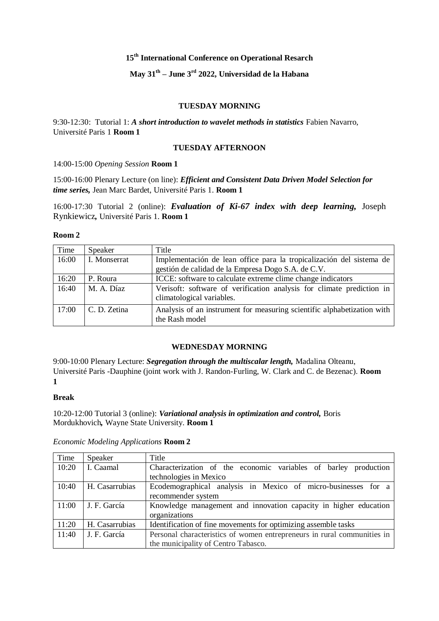# **15th International Conference on Operational Resarch**

# **May 31th – June 3 rd 2022, Universidad de la Habana**

### **TUESDAY MORNING**

9:30-12:30: Tutorial 1: *A short introduction to wavelet methods in statistics* Fabien Navarro, Université Paris 1 **Room 1**

# **TUESDAY AFTERNOON**

### 14:00-15:00 *Opening Session* **Room 1**

15:00-16:00 Plenary Lecture (on line): *Efficient and Consistent Data Driven Model Selection for time series,* Jean Marc Bardet, Université Paris 1. **Room 1**

16:00-17:30 Tutorial 2 (online): *Evaluation of Ki-67 index with deep learning,* Joseph Rynkiewicz*,* Université Paris 1. **Room 1**

### **Room 2**

| Time  | Speaker      | Title                                                                                              |
|-------|--------------|----------------------------------------------------------------------------------------------------|
| 16:00 | I. Monserrat | Implementación de lean office para la tropicalización del sistema de                               |
|       |              | gestión de calidad de la Empresa Dogo S.A. de C.V.                                                 |
| 16:20 | P. Roura     | ICCE: software to calculate extreme clime change indicators                                        |
| 16:40 | M. A. Díaz   | Verisoft: software of verification analysis for climate prediction in<br>climatological variables. |
| 17:00 | C. D. Zetina | Analysis of an instrument for measuring scientific alphabetization with<br>the Rash model          |

### **WEDNESDAY MORNING**

9:00-10:00 Plenary Lecture: *Segregation through the multiscalar length,* Madalina Olteanu, Université Paris -Dauphine (joint work with J. Randon-Furling, W. Clark and C. de Bezenac). **Room 1**

#### **Break**

10:20-12:00 Tutorial 3 (online): *Variational analysis in optimization and control,* Boris Mordukhovich*,* Wayne State University. **Room 1**

| Time  | Speaker        | Title                                                                                                          |
|-------|----------------|----------------------------------------------------------------------------------------------------------------|
| 10:20 | I. Caamal      | Characterization of the economic variables of barley production<br>technologies in Mexico                      |
| 10:40 | H. Casarrubias | Ecodemographical analysis in Mexico of micro-businesses for a<br>recommender system                            |
| 11:00 | J. F. García   | Knowledge management and innovation capacity in higher education<br>organizations                              |
| 11:20 | H. Casarrubias | Identification of fine movements for optimizing assemble tasks                                                 |
| 11:40 | J. F. García   | Personal characteristics of women entrepreneurs in rural communities in<br>the municipality of Centro Tabasco. |

### *Economic Modeling Applications* **Room 2**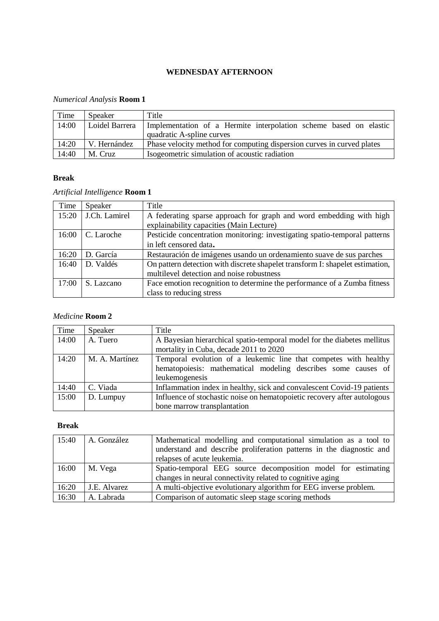# **WEDNESDAY AFTERNOON**

# *Numerical Analysis* **Room 1**

| Time  | Speaker        | Title                                                                  |
|-------|----------------|------------------------------------------------------------------------|
| 14:00 | Loidel Barrera | Implementation of a Hermite interpolation scheme based on elastic      |
|       |                | quadratic A-spline curves                                              |
| 14:20 | l V. Hernández | Phase velocity method for computing dispersion curves in curved plates |
| 14:40 | M. Cruz        | Isogeometric simulation of acoustic radiation                          |

# **Break**

# *Artificial Intelligence* **Room 1**

| Time  | Speaker       | Title                                                                         |
|-------|---------------|-------------------------------------------------------------------------------|
| 15:20 | J.Ch. Lamirel | A federating sparse approach for graph and word embedding with high           |
|       |               | explainability capacities (Main Lecture)                                      |
| 16:00 | C. Laroche    | Pesticide concentration monitoring: investigating spatio-temporal patterns    |
|       |               | in left censored data.                                                        |
| 16:20 | D. García     | Restauración de imágenes usando un ordenamiento suave de sus parches          |
| 16:40 | D. Valdés     | On pattern detection with discrete shapelet transform I: shapelet estimation, |
|       |               | multilevel detection and noise robustness                                     |
| 17:00 | S. Lazcano    | Face emotion recognition to determine the performance of a Zumba fitness      |
|       |               | class to reducing stress                                                      |

# *Medicine* **Room 2**

| Time  | Speaker        | Title                                                                    |
|-------|----------------|--------------------------------------------------------------------------|
| 14:00 | A. Tuero       | A Bayesian hierarchical spatio-temporal model for the diabetes mellitus  |
|       |                | mortality in Cuba, decade 2011 to 2020                                   |
| 14:20 | M. A. Martínez | Temporal evolution of a leukemic line that competes with healthy         |
|       |                | hematopoiesis: mathematical modeling describes some causes of            |
|       |                | leukemogenesis                                                           |
| 14:40 | C. Viada       | Inflammation index in healthy, sick and convalescent Covid-19 patients   |
| 15:00 | D. Lumpuy      | Influence of stochastic noise on hematopoietic recovery after autologous |
|       |                | bone marrow transplantation                                              |

# **Break**

| 15:40 | A. González  | Mathematical modelling and computational simulation as a tool to     |
|-------|--------------|----------------------------------------------------------------------|
|       |              | understand and describe proliferation patterns in the diagnostic and |
|       |              | relapses of acute leukemia.                                          |
| 16:00 | M. Vega      | Spatio-temporal EEG source decomposition model for estimating        |
|       |              | changes in neural connectivity related to cognitive aging            |
| 16:20 | J.E. Alvarez | A multi-objective evolutionary algorithm for EEG inverse problem.    |
| 16:30 | A. Labrada   | Comparison of automatic sleep stage scoring methods                  |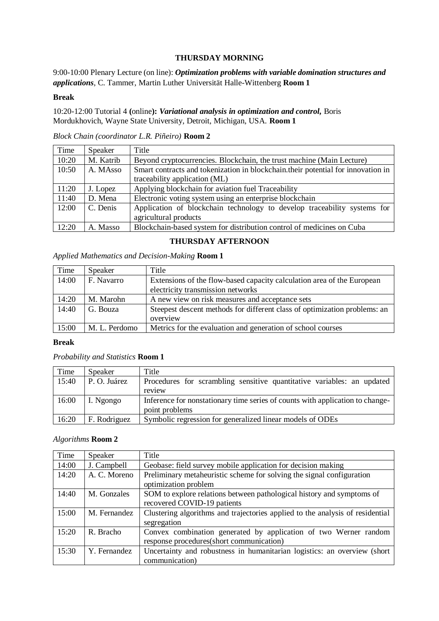## **THURSDAY MORNING**

9:00-10:00 Plenary Lecture (on line): *Optimization problems with variable domination structures and applications*, C. Tammer, Martin Luther Universität Halle-Wittenberg **Room 1**

### **Break**

10:20-12:00 Tutorial 4 **(**online**):** *Variational analysis in optimization and control,* Boris Mordukhovich, Wayne State University, Detroit, Michigan, USA. **Room 1**

*Block Chain (coordinator L.R. Piñeiro)* **Room 2**

| Time  | Speaker   | Title                                                                             |
|-------|-----------|-----------------------------------------------------------------------------------|
| 10:20 | M. Katrib | Beyond cryptocurrencies. Blockchain, the trust machine (Main Lecture)             |
| 10:50 | A. MAsso  | Smart contracts and tokenization in blockchain, their potential for innovation in |
|       |           | traceability application (ML)                                                     |
| 11:20 | J. Lopez  | Applying blockchain for aviation fuel Traceability                                |
| 11:40 | D. Mena   | Electronic voting system using an enterprise blockchain                           |
| 12:00 | C. Denis  | Application of blockchain technology to develop traceability systems for          |
|       |           | agricultural products                                                             |
| 12:20 | A. Masso  | Blockchain-based system for distribution control of medicines on Cuba             |

## **THURSDAY AFTERNOON**

| Time  | Speaker       | Title                                                                     |
|-------|---------------|---------------------------------------------------------------------------|
| 14:00 | F. Navarro    | Extensions of the flow-based capacity calculation area of the European    |
|       |               | electricity transmission networks                                         |
| 14:20 | M. Marohn     | A new view on risk measures and acceptance sets                           |
| 14:40 | G. Bouza      | Steepest descent methods for different class of optimization problems: an |
|       |               | overview                                                                  |
| 15:00 | M. L. Perdomo | Metrics for the evaluation and generation of school courses               |

### *Applied Mathematics and Decision-Making* **Room 1**

### **Break**

### *Probability and Statistics* **Room 1**

| Time  | Speaker      | Title                                                                                           |
|-------|--------------|-------------------------------------------------------------------------------------------------|
| 15:40 | P. O. Juárez | Procedures for scrambling sensitive quantitative variables: an updated                          |
|       |              | review                                                                                          |
| 16:00 | I. Ngongo    | Inference for nonstationary time series of counts with application to change-<br>point problems |
| 16:20 | F. Rodriguez | Symbolic regression for generalized linear models of ODEs                                       |

### *Algorithms* **Room 2**

| Time  | Speaker      | Title                                                                                                        |
|-------|--------------|--------------------------------------------------------------------------------------------------------------|
| 14:00 | J. Campbell  | Geobase: field survey mobile application for decision making                                                 |
| 14:20 | A. C. Moreno | Preliminary metaheuristic scheme for solving the signal configuration<br>optimization problem                |
| 14:40 | M. Gonzales  | SOM to explore relations between pathological history and symptoms of<br>recovered COVID-19 patients         |
| 15:00 | M. Fernandez | Clustering algorithms and trajectories applied to the analysis of residential<br>segregation                 |
| 15:20 | R. Bracho    | Convex combination generated by application of two Werner random<br>response procedures(short communication) |
| 15:30 | Y. Fernandez | Uncertainty and robustness in humanitarian logistics: an overview (short<br>communication)                   |